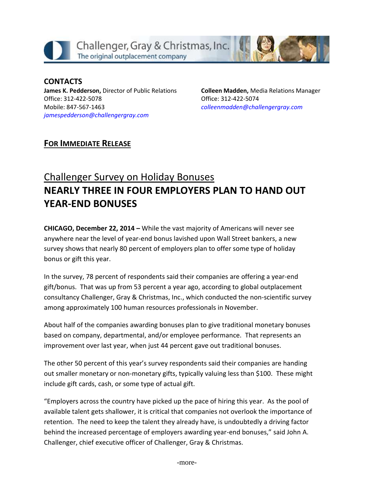

## **CONTACTS**

**James K. Pedderson,** Director of Public Relations Office: 312-422-5078 Mobile: 847-567-1463 *[jamespedderson@challengergray.com](mailto:jamespedderson@challengergray.com)*

**Colleen Madden,** Media Relations Manager Office: 312-422-5074 *[colleenmadden@challengergray.com](mailto:colleenmadden@challengergray.com)*

## **FOR IMMEDIATE RELEASE**

## Challenger Survey on Holiday Bonuses **NEARLY THREE IN FOUR EMPLOYERS PLAN TO HAND OUT YEAR-END BONUSES**

**CHICAGO, December 22, 2014 –** While the vast majority of Americans will never see anywhere near the level of year-end bonus lavished upon Wall Street bankers, a new survey shows that nearly 80 percent of employers plan to offer some type of holiday bonus or gift this year.

In the survey, 78 percent of respondents said their companies are offering a year-end gift/bonus. That was up from 53 percent a year ago, according to global outplacement consultancy Challenger, Gray & Christmas, Inc., which conducted the non-scientific survey among approximately 100 human resources professionals in November.

About half of the companies awarding bonuses plan to give traditional monetary bonuses based on company, departmental, and/or employee performance. That represents an improvement over last year, when just 44 percent gave out traditional bonuses.

The other 50 percent of this year's survey respondents said their companies are handing out smaller monetary or non-monetary gifts, typically valuing less than \$100. These might include gift cards, cash, or some type of actual gift.

"Employers across the country have picked up the pace of hiring this year. As the pool of available talent gets shallower, it is critical that companies not overlook the importance of retention. The need to keep the talent they already have, is undoubtedly a driving factor behind the increased percentage of employers awarding year-end bonuses," said John A. Challenger, chief executive officer of Challenger, Gray & Christmas.